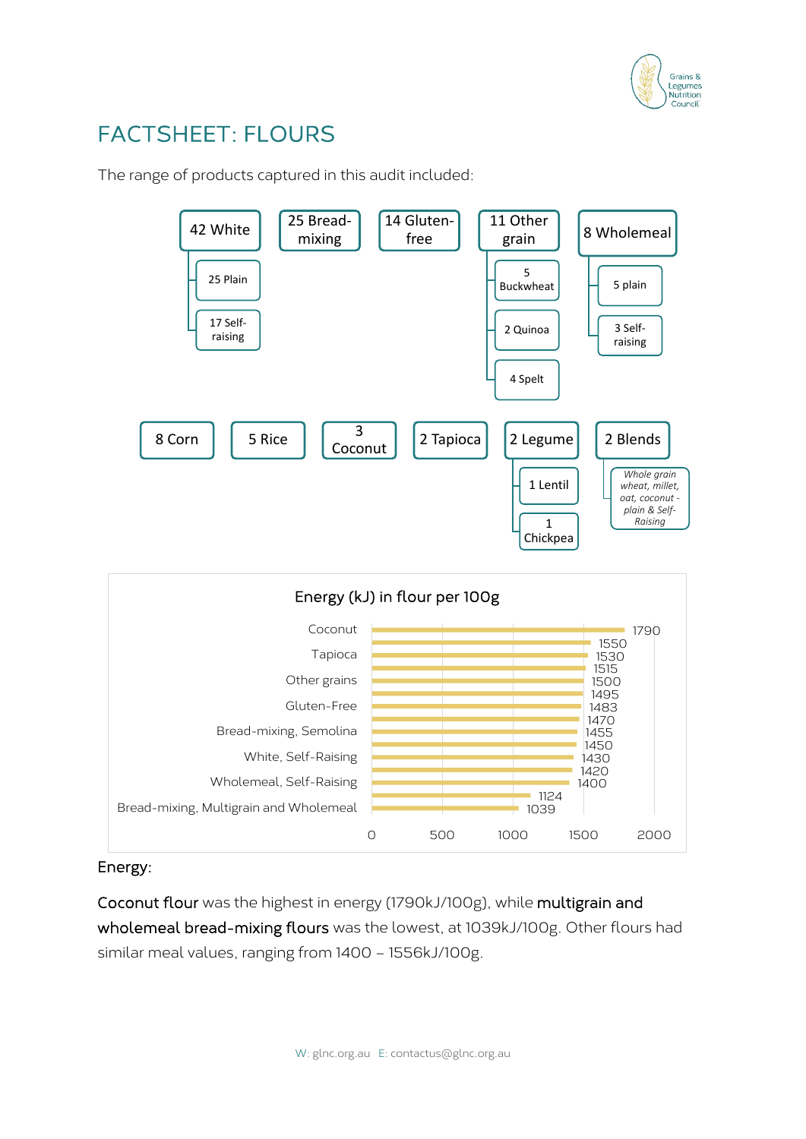

# FACTSHEET: FLOURS

The range of products captured in this audit included:



## Energy:

Coconut flour was the highest in energy (1790kJ/100g), while multigrain and wholemeal bread-mixing flours was the lowest, at 1039kJ/100g. Other flours had similar meal values, ranging from 1400 – 1556kJ/100g.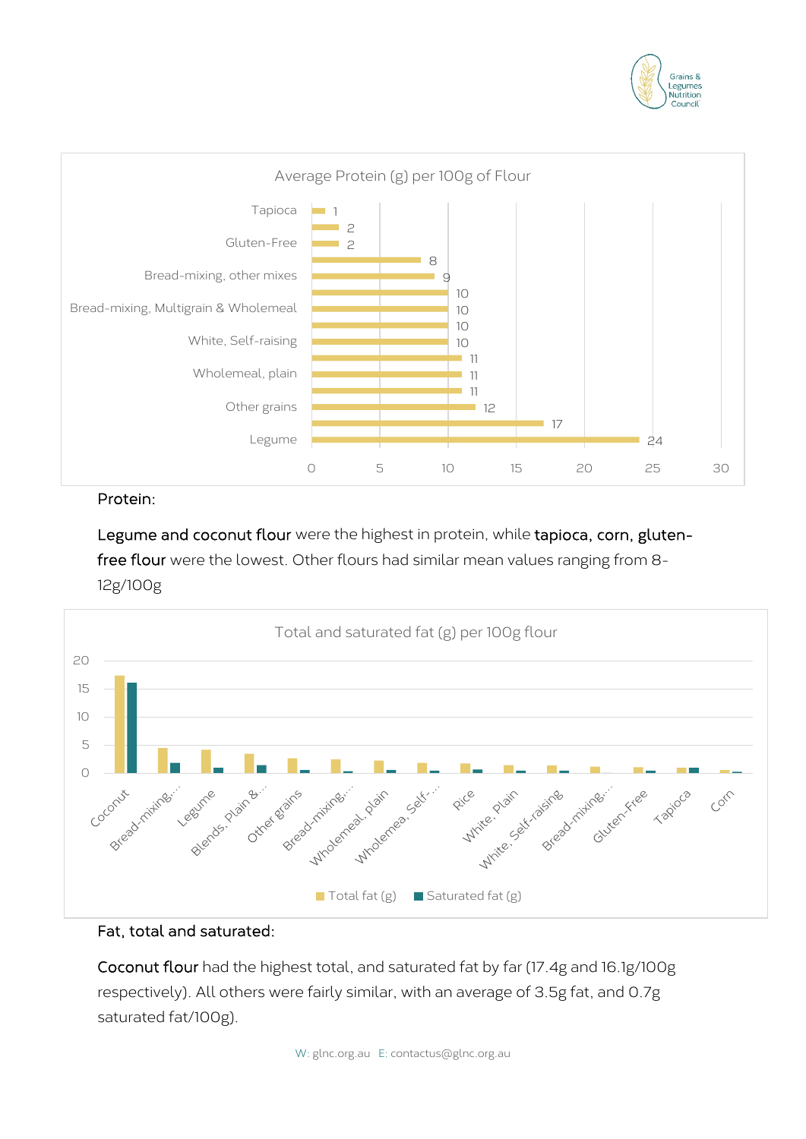



## Protein:

Legume and coconut flour were the highest in protein, while tapioca, corn, glutenfree flour were the lowest. Other flours had similar mean values ranging from 8- 12g/100g



## Fat, total and saturated:

Coconut flour had the highest total, and saturated fat by far (17.4g and 16.1g/100g respectively). All others were fairly similar, with an average of 3.5g fat, and 0.7g saturated fat/100g).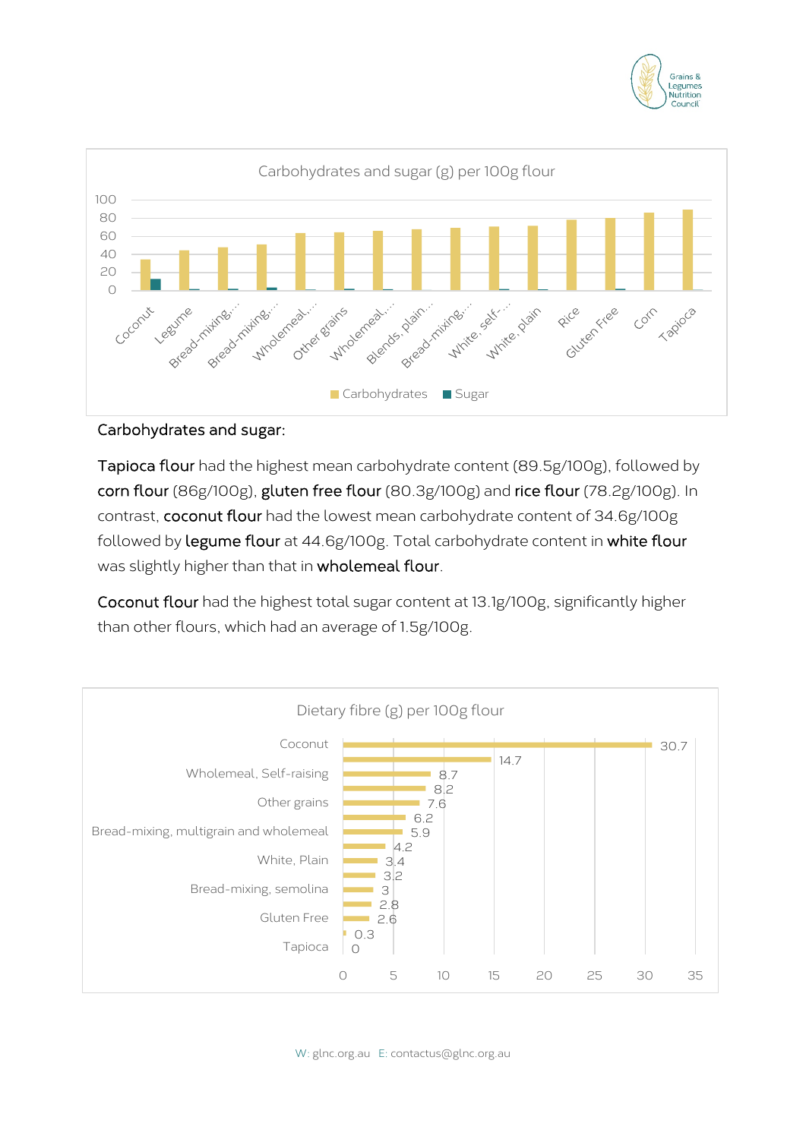



## Carbohydrates and sugar:

Tapioca flour had the highest mean carbohydrate content (89.5g/100g), followed by corn flour (86g/100g), gluten free flour (80.3g/100g) and rice flour (78.2g/100g). In contrast, coconut flour had the lowest mean carbohydrate content of 34.6g/100g followed by legume flour at 44.6g/100g. Total carbohydrate content in white flour was slightly higher than that in wholemeal flour.

Coconut flour had the highest total sugar content at 13.1g/100g, significantly higher than other flours, which had an average of 1.5g/100g.

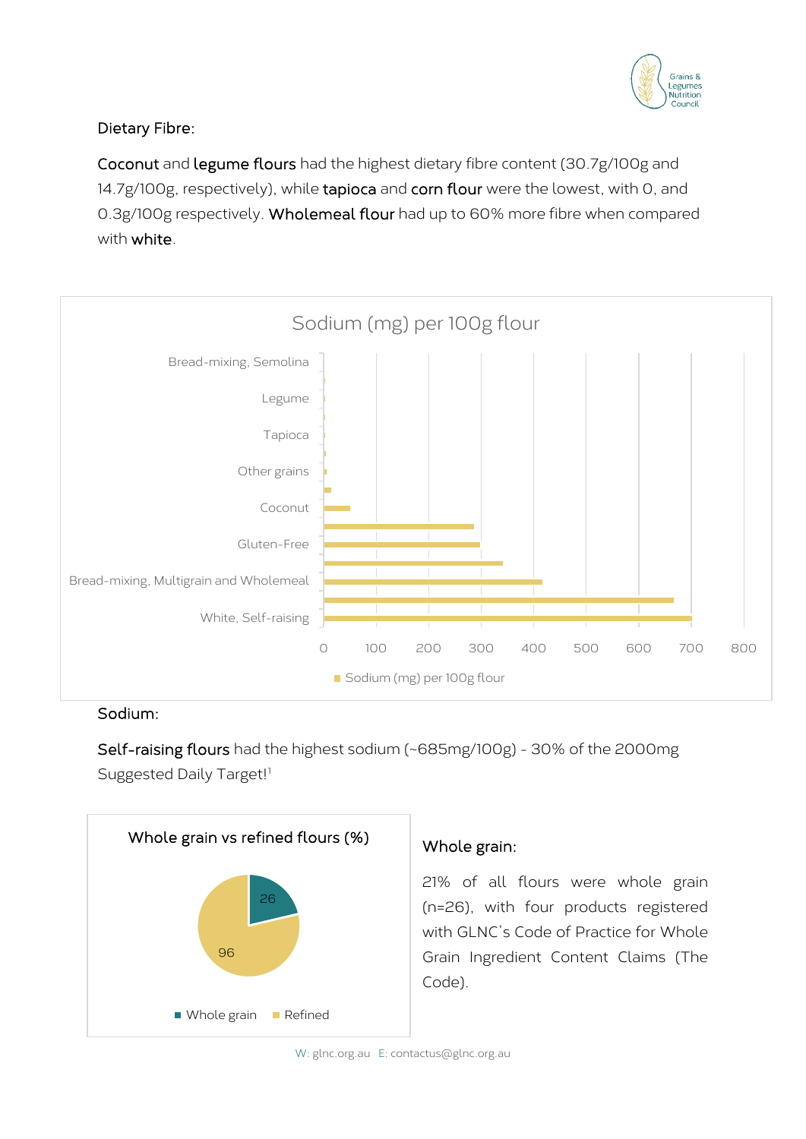

# Dietary Fibre:

Coconut and legume flours had the highest dietary fibre content (30.7g/100g and 14.7g/100g, respectively), while tapioca and corn flour were the lowest, with 0, and 0.3g/100g respectively. Wholemeal flour had up to 60% more fibre when compared with white.



## Sodium:

Self-raising flours had the highest sodium (~685mg/100g) - 30% of the 2000mg Suggested Daily Target!<sup>[1](#page--1-0)</sup>